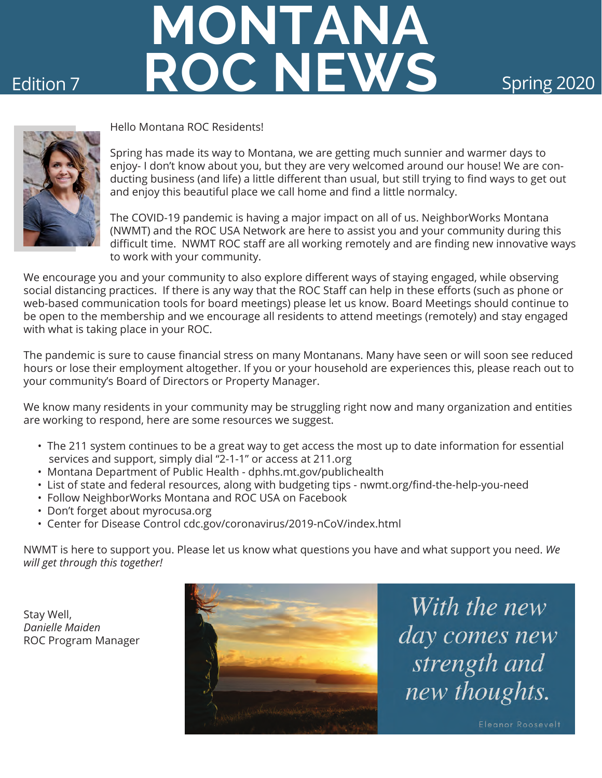# **Edition 7 8 ROC NEWS** Spring 2020 **MONTANA**



Hello Montana ROC Residents!

Spring has made its way to Montana, we are getting much sunnier and warmer days to enjoy- I don't know about you, but they are very welcomed around our house! We are conducting business (and life) a little different than usual, but still trying to find ways to get out and enjoy this beautiful place we call home and find a little normalcy.

The COVID-19 pandemic is having a major impact on all of us. NeighborWorks Montana (NWMT) and the ROC USA Network are here to assist you and your community during this difficult time. NWMT ROC staff are all working remotely and are finding new innovative ways to work with your community.

We encourage you and your community to also explore different ways of staying engaged, while observing social distancing practices. If there is any way that the ROC Staff can help in these efforts (such as phone or web-based communication tools for board meetings) please let us know. Board Meetings should continue to be open to the membership and we encourage all residents to attend meetings (remotely) and stay engaged with what is taking place in your ROC.

The pandemic is sure to cause financial stress on many Montanans. Many have seen or will soon see reduced hours or lose their employment altogether. If you or your household are experiences this, please reach out to your community's Board of Directors or Property Manager.

We know many residents in your community may be struggling right now and many organization and entities are working to respond, here are some resources we suggest.

- The 211 system continues to be a great way to get access the most up to date information for essential services and support, simply dial "2-1-1" or access at 211.org
- Montana Department of Public Health dphhs.mt.gov/publichealth
- List of state and federal resources, along with budgeting tips nwmt.org/find-the-help-you-need
- Follow NeighborWorks Montana and ROC USA on Facebook
- Don't forget about myrocusa.org
- Center for Disease Control cdc.gov/coronavirus/2019-nCoV/index.html

NWMT is here to support you. Please let us know what questions you have and what support you need. *We will get through this together!* 

Stay Well, *Danielle Maiden* ROC Program Manager



With the new day comes new strength and new thoughts.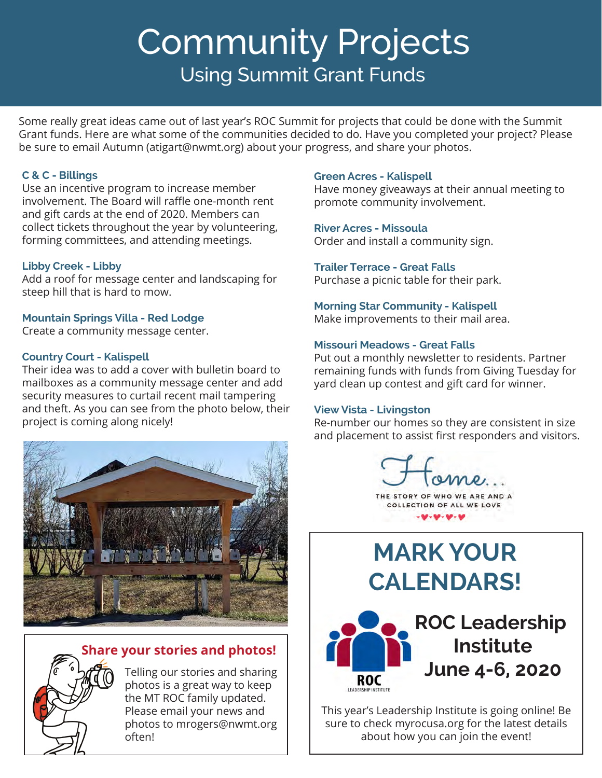## Community Projects Using Summit Grant Funds

Some really great ideas came out of last year's ROC Summit for projects that could be done with the Summit Grant funds. Here are what some of the communities decided to do. Have you completed your project? Please be sure to email Autumn (atigart@nwmt.org) about your progress, and share your photos.

#### **C & C - Billings**

Use an incentive program to increase member involvement. The Board will raffle one-month rent and gift cards at the end of 2020. Members can collect tickets throughout the year by volunteering, forming committees, and attending meetings.

#### **Libby Creek - Libby**

Add a roof for message center and landscaping for steep hill that is hard to mow.

#### **Mountain Springs Villa - Red Lodge**

Create a community message center.

#### **Country Court - Kalispell**

Their idea was to add a cover with bulletin board to mailboxes as a community message center and add security measures to curtail recent mail tampering and theft. As you can see from the photo below, their project is coming along nicely!





Telling our stories and sharing photos is a great way to keep the MT ROC family updated. Please email your news and photos to mrogers@nwmt.org often!

#### **Green Acres - Kalispell**

Have money giveaways at their annual meeting to promote community involvement.

#### **River Acres - Missoula**

Order and install a community sign.

### **Trailer Terrace - Great Falls**

Purchase a picnic table for their park.

#### **Morning Star Community - Kalispell**

Make improvements to their mail area.

#### **Missouri Meadows - Great Falls**

Put out a monthly newsletter to residents. Partner remaining funds with funds from Giving Tuesday for yard clean up contest and gift card for winner.

#### **View Vista - Livingston**

Re-number our homes so they are consistent in size and placement to assist first responders and visitors.

 $OMQ$ THE STORY OF WHO WE ARE AND A COLLECTION OF ALL WE LOVE  $9 - 9 - 9 - 9$ 

### **MARK YOUR CALENDARS!**



This year's Leadership Institute is going online! Be sure to check myrocusa.org for the latest details about how you can join the event!